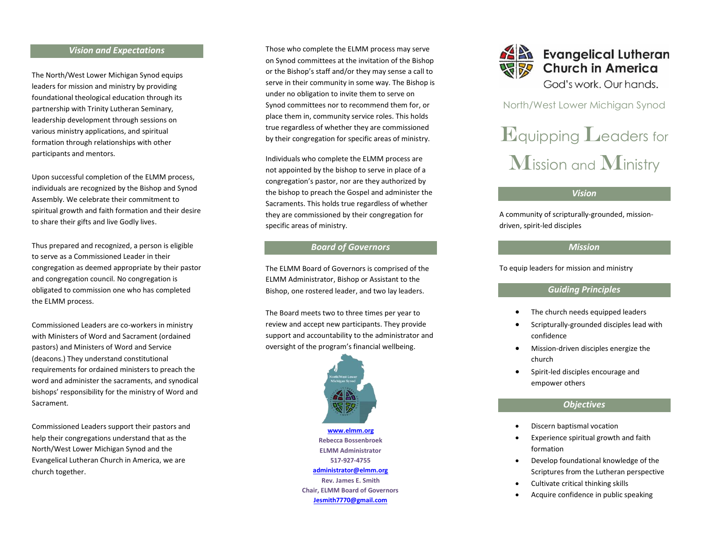#### *Vision and Expectations*

The North/West Lower Michigan Synod equips leaders for mission and ministry by providing foundational theological education through its partnership with Trinity Lutheran Seminary, leadership development through sessions on various ministry applications, and spiritual formation through relationships with other participants and mentors.

Upon successful completion of the ELMM process, individuals are recognized by the Bishop and Synod Assembly. We celebrate their commitment to spiritual growth and faith formation and their desire to share their gifts and live Godly lives.

Thus prepared and recognized, a person is eligible to serve as a Commissioned Leader in their congregation as deemed appropriate by their pastor and congregation council. No congregation is obligated to commission one who has completed the ELMM process.

Commissioned Leaders are co-workers in ministry with Ministers of Word and Sacrament (ordained pastors) and Ministers of Word and Service (deacons.) They understand constitutional requirements for ordained ministers to preach the word and administer the sacraments, and synodical bishops' responsibility for the ministry of Word and Sacrament.

Commissioned Leaders support their pastors and help their congregations understand that as the North/West Lower Michigan Synod and the Evangelical Lutheran Church in America, we are church together.

Those who complete the ELMM process may serve on Synod committees at the invitation of the Bishop or the Bishop's staff and/or they may sense a call to serve in their community in some way. The Bishop is under no obligation to invite them to serve on Synod committees nor to recommend them for, or place them in, community service roles. This holds true regardless of whether they are commissioned by their congregation for specific areas of ministry.

Individuals who complete the ELMM process are not appointed by the bishop to serve in place of a congregation's pastor, nor are they authorized by the bishop to preach the Gospel and administer the Sacraments. This holds true regardless of whether they are commissioned by their congregation for specific areas of ministry.

#### *Board of Governors*

The ELMM Board of Governors is comprised of the ELMM Administrator, Bishop or Assistant to the Bishop, one rostered leader, and two lay leaders.

The Board meets two to three times per year to review and accept new participants. They provide support and accountability to the administrator and oversight of the program's financial wellbeing.



**[www.elmm.org](http://www.elmm.org/) Rebecca Bossenbroek ELMM Administrator 517-927-4755 [administrator@elmm.org](mailto:administrator@elmm.org) Rev. James E. Smith Chair, ELMM Board of Governors Jesmith7770@gmail.com**



North/West Lower Michigan Synod

# Equipping Leaders for Mission and Ministry

# *Vision*

A community of scripturally-grounded, missiondriven, spirit-led disciples

# *Mission*

To equip leaders for mission and ministry

## *Guiding Principles*

- The church needs equipped leaders
- Scripturally-grounded disciples lead with confidence
- Mission-driven disciples energize the church
- Spirit-led disciples encourage and empower others

## *Objectives*

- Discern baptismal vocation
- Experience spiritual growth and faith formation
- Develop foundational knowledge of the Scriptures from the Lutheran perspective
- Cultivate critical thinking skills
- Acquire confidence in public speaking